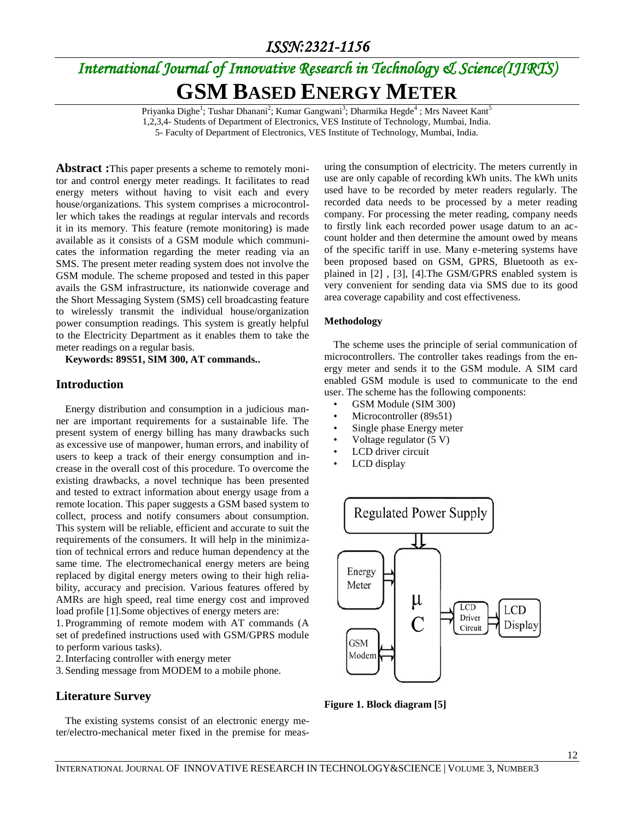## *ISSN:2321-1156*

# *International Journal of Innovative Research in Technology & Science(IJIRTS)* **GSM BASED ENERGY METER**

Priyanka Dighe<sup>1</sup>; Tushar Dhanani<sup>2</sup>; Kumar Gangwani<sup>3</sup>; Dharmika Hegde<sup>4</sup> ; Mrs Naveet Kant<sup>5</sup> 1,2,3,4- Students of Department of Electronics, VES Institute of Technology, Mumbai, India. 5- Faculty of Department of Electronics, VES Institute of Technology, Mumbai, India.

**Abstract :**This paper presents a scheme to remotely monitor and control energy meter readings. It facilitates to read energy meters without having to visit each and every house/organizations. This system comprises a microcontroller which takes the readings at regular intervals and records it in its memory. This feature (remote monitoring) is made available as it consists of a GSM module which communicates the information regarding the meter reading via an SMS. The present meter reading system does not involve the GSM module. The scheme proposed and tested in this paper avails the GSM infrastructure, its nationwide coverage and the Short Messaging System (SMS) cell broadcasting feature to wirelessly transmit the individual house/organization power consumption readings. This system is greatly helpful to the Electricity Department as it enables them to take the meter readings on a regular basis.

**Keywords: 89S51, SIM 300, AT commands..**

#### **Introduction**

Energy distribution and consumption in a judicious manner are important requirements for a sustainable life. The present system of energy billing has many drawbacks such as excessive use of manpower, human errors, and inability of users to keep a track of their energy consumption and increase in the overall cost of this procedure. To overcome the existing drawbacks, a novel technique has been presented and tested to extract information about energy usage from a remote location. This paper suggests a GSM based system to collect, process and notify consumers about consumption. This system will be reliable, efficient and accurate to suit the requirements of the consumers. It will help in the minimization of technical errors and reduce human dependency at the same time. The electromechanical energy meters are being replaced by digital energy meters owing to their high reliability, accuracy and precision. Various features offered by AMRs are high speed, real time energy cost and improved load profile [1].Some objectives of energy meters are:

1. Programming of remote modem with AT commands (A set of predefined instructions used with GSM/GPRS module to perform various tasks).

2.Interfacing controller with energy meter

3. Sending message from MODEM to a mobile phone.

#### **Literature Survey**

The existing systems consist of an electronic energy meter/electro-mechanical meter fixed in the premise for measuring the consumption of electricity. The meters currently in use are only capable of recording kWh units. The kWh units used have to be recorded by meter readers regularly. The recorded data needs to be processed by a meter reading company. For processing the meter reading, company needs to firstly link each recorded power usage datum to an account holder and then determine the amount owed by means of the specific tariff in use. Many e-metering systems have been proposed based on GSM, GPRS, Bluetooth as explained in [2] , [3], [4].The GSM/GPRS enabled system is very convenient for sending data via SMS due to its good area coverage capability and cost effectiveness.

#### **Methodology**

The scheme uses the principle of serial communication of microcontrollers. The controller takes readings from the energy meter and sends it to the GSM module. A SIM card enabled GSM module is used to communicate to the end user. The scheme has the following components:

- GSM Module (SIM 300)
- Microcontroller (89s51)
- Single phase Energy meter
- Voltage regulator (5 V)
- LCD driver circuit
- LCD display



**Figure 1. Block diagram [5]**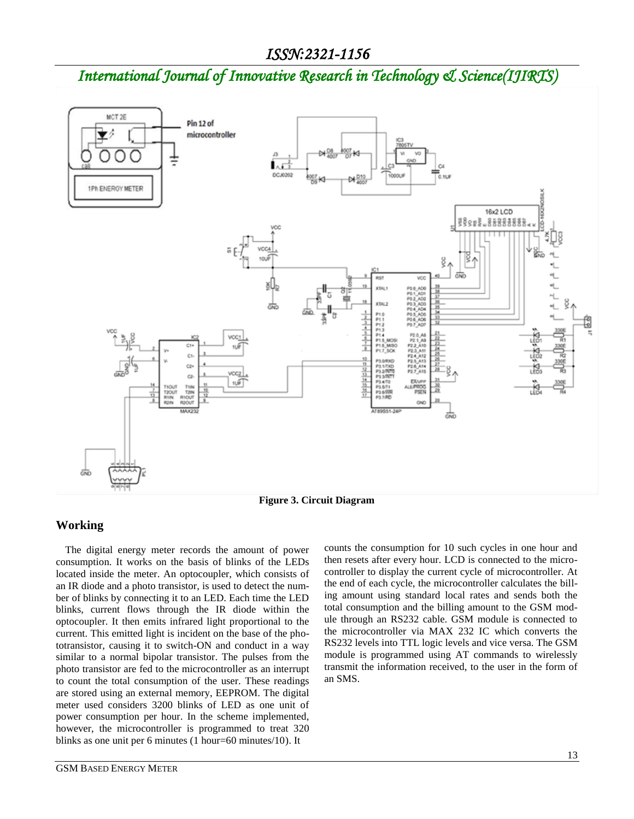# *International Journal of Innovative Research in Technology & Science(IJIRTS)*



**Figure 3. Circuit Diagram**

### **Working**

The digital energy meter records the amount of power consumption. It works on the basis of blinks of the LEDs located inside the meter. An optocoupler, which consists of an IR diode and a photo transistor, is used to detect the number of blinks by connecting it to an LED. Each time the LED blinks, current flows through the IR diode within the optocoupler. It then emits infrared light proportional to the current. This emitted light is incident on the base of the phototransistor, causing it to switch-ON and conduct in a way similar to a normal bipolar transistor. The pulses from the photo transistor are fed to the microcontroller as an interrupt to count the total consumption of the user. These readings are stored using an external memory, EEPROM. The digital meter used considers 3200 blinks of LED as one unit of power consumption per hour. In the scheme implemented, however, the microcontroller is programmed to treat 320 blinks as one unit per 6 minutes (1 hour=60 minutes/10). It

counts the consumption for 10 such cycles in one hour and then resets after every hour. LCD is connected to the microcontroller to display the current cycle of microcontroller. At the end of each cycle, the microcontroller calculates the billing amount using standard local rates and sends both the total consumption and the billing amount to the GSM module through an RS232 cable. GSM module is connected to the microcontroller via MAX 232 IC which converts the RS232 levels into TTL logic levels and vice versa. The GSM module is programmed using AT commands to wirelessly transmit the information received, to the user in the form of an SMS.